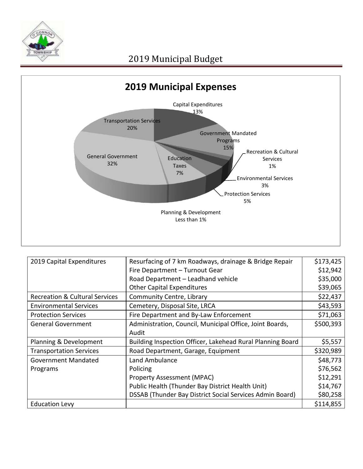



| 2019 Capital Expenditures                 | Resurfacing of 7 km Roadways, drainage & Bridge Repair     | \$173,425 |
|-------------------------------------------|------------------------------------------------------------|-----------|
|                                           | Fire Department - Turnout Gear                             | \$12,942  |
|                                           | Road Department - Leadhand vehicle                         | \$35,000  |
|                                           | <b>Other Capital Expenditures</b>                          | \$39,065  |
| <b>Recreation &amp; Cultural Services</b> | Community Centre, Library                                  | \$22,437  |
| <b>Environmental Services</b>             | Cemetery, Disposal Site, LRCA                              | \$43,593  |
| <b>Protection Services</b>                | Fire Department and By-Law Enforcement                     | \$71,063  |
| <b>General Government</b>                 | Administration, Council, Municipal Office, Joint Boards,   | \$500,393 |
|                                           | Audit                                                      |           |
| Planning & Development                    | Building Inspection Officer, Lakehead Rural Planning Board | \$5,557   |
| <b>Transportation Services</b>            | Road Department, Garage, Equipment                         | \$320,989 |
| <b>Government Mandated</b>                | Land Ambulance                                             | \$48,773  |
| Programs                                  | Policing                                                   | \$76,562  |
|                                           | <b>Property Assessment (MPAC)</b>                          | \$12,291  |
|                                           | Public Health (Thunder Bay District Health Unit)           | \$14,767  |
|                                           | DSSAB (Thunder Bay District Social Services Admin Board)   | \$80,258  |
| <b>Education Levy</b>                     |                                                            | \$114,855 |